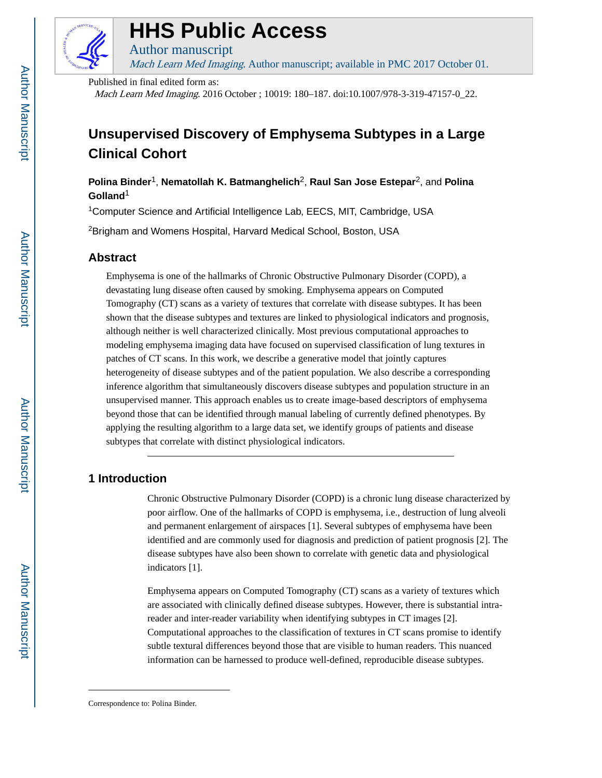

# **HHS Public Access**

Mach Learn Med Imaging. Author manuscript; available in PMC 2017 October 01.

Published in final edited form as:

Author manuscript

Mach Learn Med Imaging. 2016 October ; 10019: 180-187. doi:10.1007/978-3-319-47157-0\_22.

## **Unsupervised Discovery of Emphysema Subtypes in a Large Clinical Cohort**

**Polina Binder**1, **Nematollah K. Batmanghelich**2, **Raul San Jose Estepar**2, and **Polina Golland**<sup>1</sup>

<sup>1</sup>Computer Science and Artificial Intelligence Lab, EECS, MIT, Cambridge, USA

<sup>2</sup>Brigham and Womens Hospital, Harvard Medical School, Boston, USA

## **Abstract**

Emphysema is one of the hallmarks of Chronic Obstructive Pulmonary Disorder (COPD), a devastating lung disease often caused by smoking. Emphysema appears on Computed Tomography (CT) scans as a variety of textures that correlate with disease subtypes. It has been shown that the disease subtypes and textures are linked to physiological indicators and prognosis, although neither is well characterized clinically. Most previous computational approaches to modeling emphysema imaging data have focused on supervised classification of lung textures in patches of CT scans. In this work, we describe a generative model that jointly captures heterogeneity of disease subtypes and of the patient population. We also describe a corresponding inference algorithm that simultaneously discovers disease subtypes and population structure in an unsupervised manner. This approach enables us to create image-based descriptors of emphysema beyond those that can be identified through manual labeling of currently defined phenotypes. By applying the resulting algorithm to a large data set, we identify groups of patients and disease subtypes that correlate with distinct physiological indicators.

## **1 Introduction**

Chronic Obstructive Pulmonary Disorder (COPD) is a chronic lung disease characterized by poor airflow. One of the hallmarks of COPD is emphysema, i.e., destruction of lung alveoli and permanent enlargement of airspaces [1]. Several subtypes of emphysema have been identified and are commonly used for diagnosis and prediction of patient prognosis [2]. The disease subtypes have also been shown to correlate with genetic data and physiological indicators [1].

Emphysema appears on Computed Tomography (CT) scans as a variety of textures which are associated with clinically defined disease subtypes. However, there is substantial intrareader and inter-reader variability when identifying subtypes in CT images [2]. Computational approaches to the classification of textures in CT scans promise to identify subtle textural differences beyond those that are visible to human readers. This nuanced information can be harnessed to produce well-defined, reproducible disease subtypes.

Correspondence to: Polina Binder.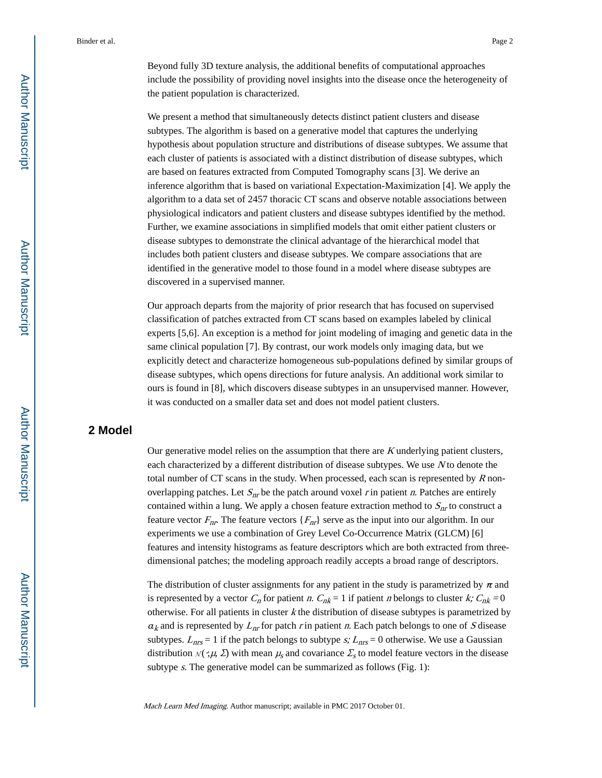Beyond fully 3D texture analysis, the additional benefits of computational approaches include the possibility of providing novel insights into the disease once the heterogeneity of the patient population is characterized.

We present a method that simultaneously detects distinct patient clusters and disease subtypes. The algorithm is based on a generative model that captures the underlying hypothesis about population structure and distributions of disease subtypes. We assume that each cluster of patients is associated with a distinct distribution of disease subtypes, which are based on features extracted from Computed Tomography scans [3]. We derive an inference algorithm that is based on variational Expectation-Maximization [4]. We apply the algorithm to a data set of 2457 thoracic CT scans and observe notable associations between physiological indicators and patient clusters and disease subtypes identified by the method. Further, we examine associations in simplified models that omit either patient clusters or disease subtypes to demonstrate the clinical advantage of the hierarchical model that includes both patient clusters and disease subtypes. We compare associations that are identified in the generative model to those found in a model where disease subtypes are discovered in a supervised manner.

Our approach departs from the majority of prior research that has focused on supervised classification of patches extracted from CT scans based on examples labeled by clinical experts [5,6]. An exception is a method for joint modeling of imaging and genetic data in the same clinical population [7]. By contrast, our work models only imaging data, but we explicitly detect and characterize homogeneous sub-populations defined by similar groups of disease subtypes, which opens directions for future analysis. An additional work similar to ours is found in [8], which discovers disease subtypes in an unsupervised manner. However, it was conducted on a smaller data set and does not model patient clusters.

## **2 Model**

Our generative model relies on the assumption that there are  $K$  underlying patient clusters, each characterized by a different distribution of disease subtypes. We use N to denote the total number of CT scans in the study. When processed, each scan is represented by  *non*overlapping patches. Let  $S_{nr}$  be the patch around voxel r in patient n. Patches are entirely contained within a lung. We apply a chosen feature extraction method to  $S_{nr}$  to construct a feature vector  $F_{nr}$ . The feature vectors  $\{F_{nr}\}$  serve as the input into our algorithm. In our experiments we use a combination of Grey Level Co-Occurrence Matrix (GLCM) [6] features and intensity histograms as feature descriptors which are both extracted from threedimensional patches; the modeling approach readily accepts a broad range of descriptors.

The distribution of cluster assignments for any patient in the study is parametrized by  $\pi$  and is represented by a vector  $C_n$  for patient n.  $C_{nk} = 1$  if patient n belongs to cluster k;  $C_{nk} = 0$ otherwise. For all patients in cluster  $k$  the distribution of disease subtypes is parametrized by  $a_k$  and is represented by  $L_{nr}$  for patch r in patient n. Each patch belongs to one of S disease subtypes.  $L_{nrs} = 1$  if the patch belongs to subtype s;  $L_{nrs} = 0$  otherwise. We use a Gaussian distribution  $\mathcal{N}(\cdot;\mu,\Sigma)$  with mean  $\mu_s$  and covariance  $\Sigma_s$  to model feature vectors in the disease subtype s. The generative model can be summarized as follows (Fig. 1):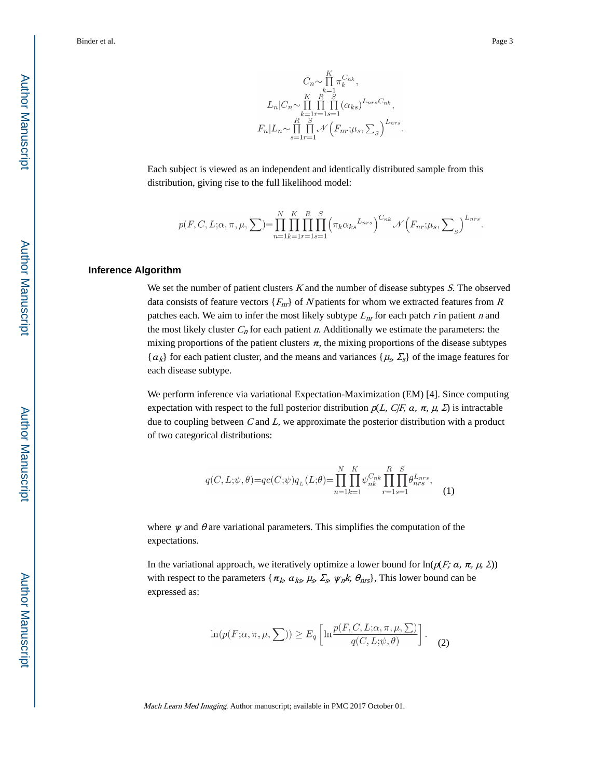$\label{eq:2} \begin{array}{c} C_n {\sim} \prod\limits_{k=1}^K \pi_k^{C_{nk}},\\ L_n|C_n {\sim} \prod\limits_{k=1}^K \prod\limits_{j=1}^R (\alpha_{ks})^{L_{nrs}C_{nk}},\\ F_n|L_n {\sim} \prod\limits_{s=1}^R \prod\limits_{r=1}^S \mathcal{N}\left(F_{nr}; \mu_s, \sum\limits_S\right)^{L_{nrs}}. \end{array}$ 

Each subject is viewed as an independent and identically distributed sample from this distribution, giving rise to the full likelihood model:

$$
p(F, C, L; \alpha, \pi, \mu, \sum) = \prod_{n=1}^{N} \prod_{k=1}^{K} \prod_{r=1}^{R} \prod_{s=1}^{S} \left( \pi_k \alpha_{ks}^{L_{nrs}} \right)^{C_{nk}} \mathcal{N}\left(F_{nr}; \mu_s, \sum_s \right)^{L_{nrs}}.
$$

#### **Inference Algorithm**

We set the number of patient clusters  $K$  and the number of disease subtypes  $S$ . The observed data consists of feature vectors  ${F_{nr}}$  of N patients for whom we extracted features from R patches each. We aim to infer the most likely subtype  $L_{nr}$  for each patch r in patient n and the most likely cluster  $C_n$  for each patient n. Additionally we estimate the parameters: the mixing proportions of the patient clusters  $\pi$ , the mixing proportions of the disease subtypes  $\{\alpha_k\}$  for each patient cluster, and the means and variances  $\{\mu_s, \Sigma_s\}$  of the image features for each disease subtype.

We perform inference via variational Expectation-Maximization (EM) [4]. Since computing expectation with respect to the full posterior distribution  $p(L, C/F, \alpha, \pi, \mu, \Sigma)$  is intractable due to coupling between  $C$  and  $L$ , we approximate the posterior distribution with a product of two categorical distributions:

$$
q(C, L; \psi, \theta) = qc(C; \psi)q_L(L; \theta) = \prod_{n=1}^{N} \prod_{k=1}^{K} \psi_{nk}^{C_{nk}} \prod_{r=1}^{R} \prod_{s=1}^{S} \theta_{nrs}^{L_{nrs}},
$$
(1)

where  $\psi$  and  $\theta$  are variational parameters. This simplifies the computation of the expectations.

In the variational approach, we iteratively optimize a lower bound for  $\ln(p(F; a, \pi, \mu, \Sigma))$ with respect to the parameters { $\pi_k$ ,  $\alpha_{ks}$ ,  $\mu_s$ ,  $\Sigma_s$ ,  $\psi_n$ k,  $\theta_{nrs}$ }, This lower bound can be expressed as:

$$
\ln(p(F; \alpha, \pi, \mu, \sum)) \ge E_q \left[ \ln \frac{p(F, C, L; \alpha, \pi, \mu, \sum)}{q(C, L; \psi, \theta)} \right].
$$
 (2)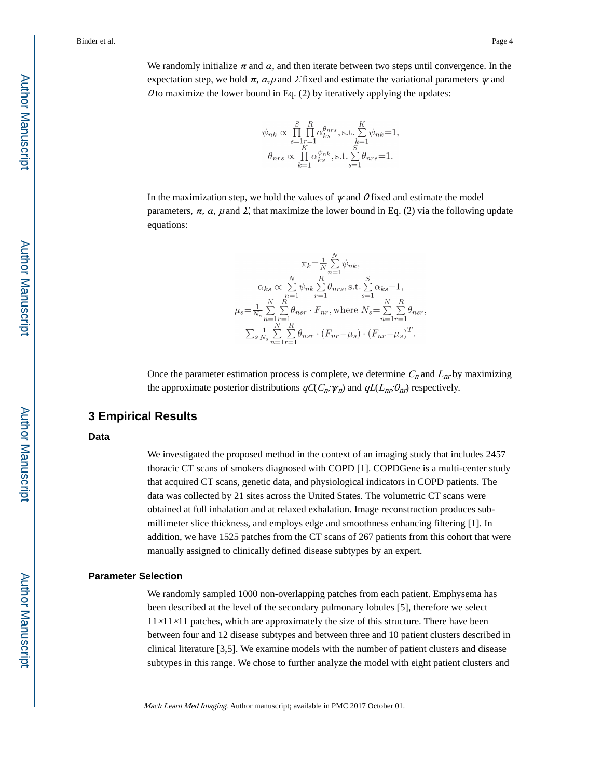We randomly initialize  $\pi$  and  $\alpha$ , and then iterate between two steps until convergence. In the expectation step, we hold  $\pi$ ,  $\alpha$ ,  $\mu$  and  $\Sigma$  fixed and estimate the variational parameters  $\psi$  and  $\theta$  to maximize the lower bound in Eq. (2) by iteratively applying the updates:

$$
\psi_{nk} \propto \prod_{s=1}^{S} \prod_{r=1}^{R} \alpha_{ks}^{\theta_{nrs}}, \text{s.t.} \sum_{k=1}^{K} \psi_{nk} = 1, \\ \theta_{nrs} \propto \prod_{k=1}^{K} \alpha_{ks}^{\psi_{nk}}, \text{s.t.} \sum_{s=1}^{S} \theta_{nrs} = 1.
$$

In the maximization step, we hold the values of  $\psi$  and  $\theta$  fixed and estimate the model parameters,  $\pi$ ,  $\alpha$ ,  $\mu$  and  $\Sigma$ , that maximize the lower bound in Eq. (2) via the following update equations:

$$
\pi_k = \frac{1}{N} \sum_{n=1}^N \psi_{nk},
$$
  
\n
$$
\alpha_{ks} \propto \sum_{n=1}^N \psi_{nk} \sum_{r=1}^R \theta_{nrs}, \text{s.t.} \sum_{s=1}^S \alpha_{ks} = 1,
$$
  
\n
$$
\mu_s = \frac{1}{N_s} \sum_{n=1}^N \sum_{r=1}^R \theta_{nsr} \cdot F_{nr}, \text{where } N_s = \sum_{n=1}^N \sum_{r=1}^R \theta_{nsr}.
$$
  
\n
$$
\sum_s \frac{1}{N_s} \sum_{n=1}^N \sum_{r=1}^R \theta_{nsr} \cdot (F_{nr} - \mu_s) \cdot (F_{nr} - \mu_s)^T.
$$

Once the parameter estimation process is complete, we determine  $C_n$  and  $L_n$  by maximizing the approximate posterior distributions  $qC(C_n; \psi_n)$  and  $qL(L_n; \theta_n)$  respectively.

#### **3 Empirical Results**

#### **Data**

We investigated the proposed method in the context of an imaging study that includes 2457 thoracic CT scans of smokers diagnosed with COPD [1]. COPDGene is a multi-center study that acquired CT scans, genetic data, and physiological indicators in COPD patients. The data was collected by 21 sites across the United States. The volumetric CT scans were obtained at full inhalation and at relaxed exhalation. Image reconstruction produces submillimeter slice thickness, and employs edge and smoothness enhancing filtering [1]. In addition, we have 1525 patches from the CT scans of 267 patients from this cohort that were manually assigned to clinically defined disease subtypes by an expert.

#### **Parameter Selection**

We randomly sampled 1000 non-overlapping patches from each patient. Emphysema has been described at the level of the secondary pulmonary lobules [5], therefore we select  $11 \times 11 \times 11$  patches, which are approximately the size of this structure. There have been between four and 12 disease subtypes and between three and 10 patient clusters described in clinical literature [3,5]. We examine models with the number of patient clusters and disease subtypes in this range. We chose to further analyze the model with eight patient clusters and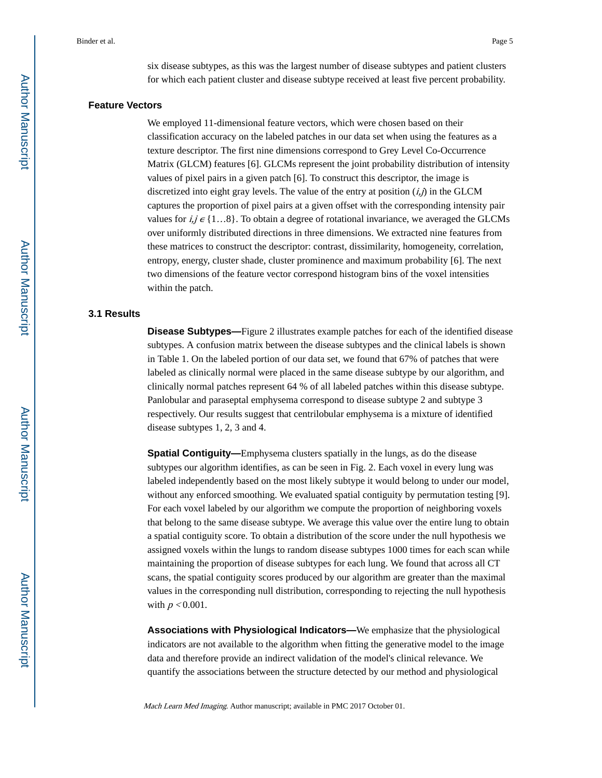six disease subtypes, as this was the largest number of disease subtypes and patient clusters for which each patient cluster and disease subtype received at least five percent probability.

#### **Feature Vectors**

We employed 11-dimensional feature vectors, which were chosen based on their classification accuracy on the labeled patches in our data set when using the features as a texture descriptor. The first nine dimensions correspond to Grey Level Co-Occurrence Matrix (GLCM) features [6]. GLCMs represent the joint probability distribution of intensity values of pixel pairs in a given patch [6]. To construct this descriptor, the image is discretized into eight gray levels. The value of the entry at position  $(i, j)$  in the GLCM captures the proportion of pixel pairs at a given offset with the corresponding intensity pair values for  $i, j \in \{1...8\}$ . To obtain a degree of rotational invariance, we averaged the GLCMs over uniformly distributed directions in three dimensions. We extracted nine features from these matrices to construct the descriptor: contrast, dissimilarity, homogeneity, correlation, entropy, energy, cluster shade, cluster prominence and maximum probability [6]. The next two dimensions of the feature vector correspond histogram bins of the voxel intensities within the patch.

#### **3.1 Results**

**Disease Subtypes—**Figure 2 illustrates example patches for each of the identified disease subtypes. A confusion matrix between the disease subtypes and the clinical labels is shown in Table 1. On the labeled portion of our data set, we found that 67% of patches that were labeled as clinically normal were placed in the same disease subtype by our algorithm, and clinically normal patches represent 64 % of all labeled patches within this disease subtype. Panlobular and paraseptal emphysema correspond to disease subtype 2 and subtype 3 respectively. Our results suggest that centrilobular emphysema is a mixture of identified disease subtypes 1, 2, 3 and 4.

**Spatial Contiguity—**Emphysema clusters spatially in the lungs, as do the disease subtypes our algorithm identifies, as can be seen in Fig. 2. Each voxel in every lung was labeled independently based on the most likely subtype it would belong to under our model, without any enforced smoothing. We evaluated spatial contiguity by permutation testing [9]. For each voxel labeled by our algorithm we compute the proportion of neighboring voxels that belong to the same disease subtype. We average this value over the entire lung to obtain a spatial contiguity score. To obtain a distribution of the score under the null hypothesis we assigned voxels within the lungs to random disease subtypes 1000 times for each scan while maintaining the proportion of disease subtypes for each lung. We found that across all CT scans, the spatial contiguity scores produced by our algorithm are greater than the maximal values in the corresponding null distribution, corresponding to rejecting the null hypothesis with  $p < 0.001$ .

**Associations with Physiological Indicators—**We emphasize that the physiological indicators are not available to the algorithm when fitting the generative model to the image data and therefore provide an indirect validation of the model's clinical relevance. We quantify the associations between the structure detected by our method and physiological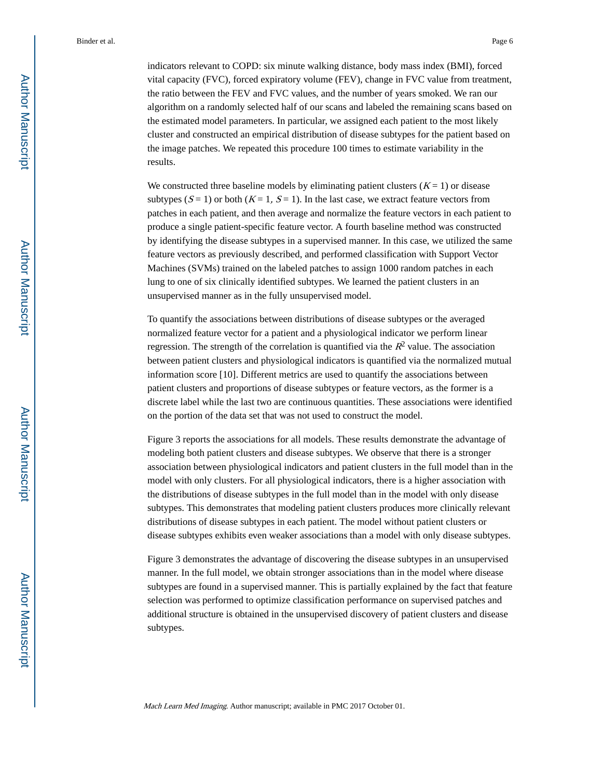indicators relevant to COPD: six minute walking distance, body mass index (BMI), forced vital capacity (FVC), forced expiratory volume (FEV), change in FVC value from treatment, the ratio between the FEV and FVC values, and the number of years smoked. We ran our algorithm on a randomly selected half of our scans and labeled the remaining scans based on the estimated model parameters. In particular, we assigned each patient to the most likely cluster and constructed an empirical distribution of disease subtypes for the patient based on the image patches. We repeated this procedure 100 times to estimate variability in the results.

We constructed three baseline models by eliminating patient clusters  $(K = 1)$  or disease subtypes ( $S = 1$ ) or both ( $K = 1$ ,  $S = 1$ ). In the last case, we extract feature vectors from patches in each patient, and then average and normalize the feature vectors in each patient to produce a single patient-specific feature vector. A fourth baseline method was constructed by identifying the disease subtypes in a supervised manner. In this case, we utilized the same feature vectors as previously described, and performed classification with Support Vector Machines (SVMs) trained on the labeled patches to assign 1000 random patches in each lung to one of six clinically identified subtypes. We learned the patient clusters in an unsupervised manner as in the fully unsupervised model.

To quantify the associations between distributions of disease subtypes or the averaged normalized feature vector for a patient and a physiological indicator we perform linear regression. The strength of the correlation is quantified via the  $R^2$  value. The association between patient clusters and physiological indicators is quantified via the normalized mutual information score [10]. Different metrics are used to quantify the associations between patient clusters and proportions of disease subtypes or feature vectors, as the former is a discrete label while the last two are continuous quantities. These associations were identified on the portion of the data set that was not used to construct the model.

Figure 3 reports the associations for all models. These results demonstrate the advantage of modeling both patient clusters and disease subtypes. We observe that there is a stronger association between physiological indicators and patient clusters in the full model than in the model with only clusters. For all physiological indicators, there is a higher association with the distributions of disease subtypes in the full model than in the model with only disease subtypes. This demonstrates that modeling patient clusters produces more clinically relevant distributions of disease subtypes in each patient. The model without patient clusters or disease subtypes exhibits even weaker associations than a model with only disease subtypes.

Figure 3 demonstrates the advantage of discovering the disease subtypes in an unsupervised manner. In the full model, we obtain stronger associations than in the model where disease subtypes are found in a supervised manner. This is partially explained by the fact that feature selection was performed to optimize classification performance on supervised patches and additional structure is obtained in the unsupervised discovery of patient clusters and disease subtypes.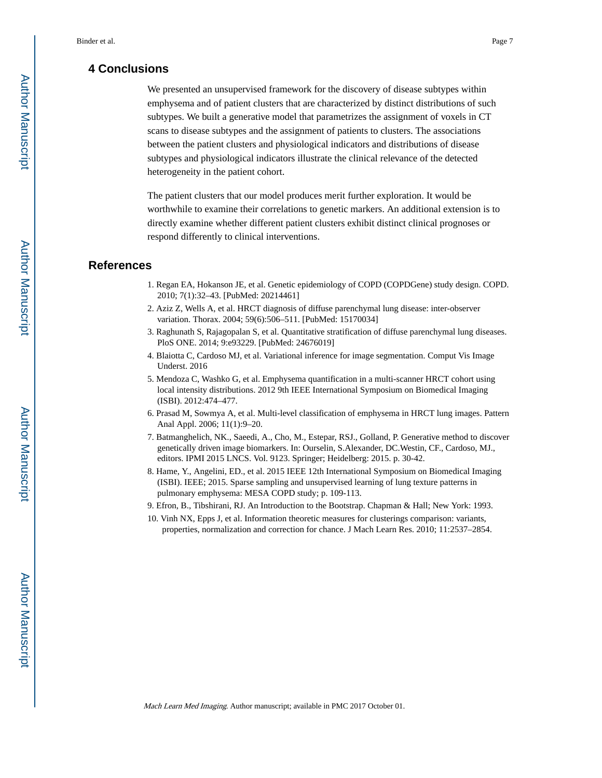## **4 Conclusions**

We presented an unsupervised framework for the discovery of disease subtypes within emphysema and of patient clusters that are characterized by distinct distributions of such subtypes. We built a generative model that parametrizes the assignment of voxels in CT scans to disease subtypes and the assignment of patients to clusters. The associations between the patient clusters and physiological indicators and distributions of disease subtypes and physiological indicators illustrate the clinical relevance of the detected heterogeneity in the patient cohort.

The patient clusters that our model produces merit further exploration. It would be worthwhile to examine their correlations to genetic markers. An additional extension is to directly examine whether different patient clusters exhibit distinct clinical prognoses or respond differently to clinical interventions.

#### **References**

- 1. Regan EA, Hokanson JE, et al. Genetic epidemiology of COPD (COPDGene) study design. COPD. 2010; 7(1):32–43. [PubMed: 20214461]
- 2. Aziz Z, Wells A, et al. HRCT diagnosis of diffuse parenchymal lung disease: inter-observer variation. Thorax. 2004; 59(6):506–511. [PubMed: 15170034]
- 3. Raghunath S, Rajagopalan S, et al. Quantitative stratification of diffuse parenchymal lung diseases. PloS ONE. 2014; 9:e93229. [PubMed: 24676019]
- 4. Blaiotta C, Cardoso MJ, et al. Variational inference for image segmentation. Comput Vis Image Underst. 2016
- 5. Mendoza C, Washko G, et al. Emphysema quantification in a multi-scanner HRCT cohort using local intensity distributions. 2012 9th IEEE International Symposium on Biomedical Imaging (ISBI). 2012:474–477.
- 6. Prasad M, Sowmya A, et al. Multi-level classification of emphysema in HRCT lung images. Pattern Anal Appl. 2006; 11(1):9–20.
- 7. Batmanghelich, NK., Saeedi, A., Cho, M., Estepar, RSJ., Golland, P. Generative method to discover genetically driven image biomarkers. In: Ourselin, S.Alexander, DC.Westin, CF., Cardoso, MJ., editors. IPMI 2015 LNCS. Vol. 9123. Springer; Heidelberg: 2015. p. 30-42.
- 8. Hame, Y., Angelini, ED., et al. 2015 IEEE 12th International Symposium on Biomedical Imaging (ISBI). IEEE; 2015. Sparse sampling and unsupervised learning of lung texture patterns in pulmonary emphysema: MESA COPD study; p. 109-113.
- 9. Efron, B., Tibshirani, RJ. An Introduction to the Bootstrap. Chapman & Hall; New York: 1993.
- 10. Vinh NX, Epps J, et al. Information theoretic measures for clusterings comparison: variants, properties, normalization and correction for chance. J Mach Learn Res. 2010; 11:2537–2854.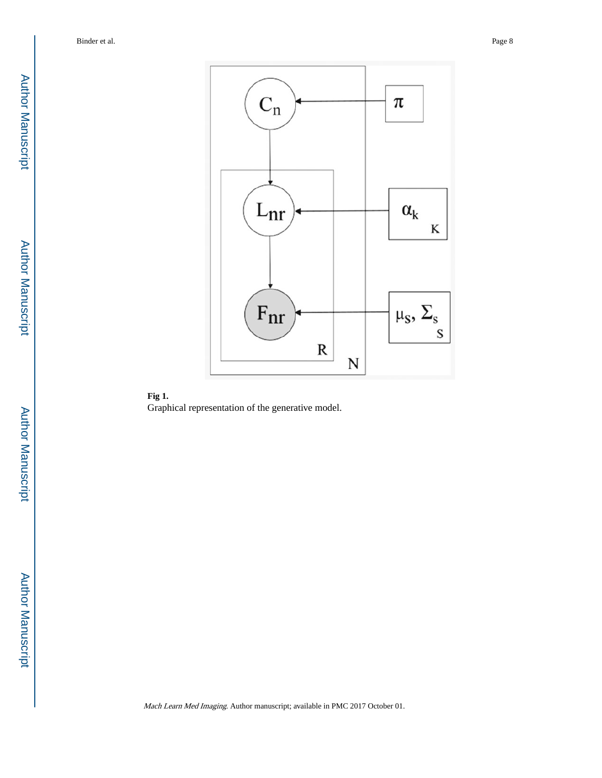

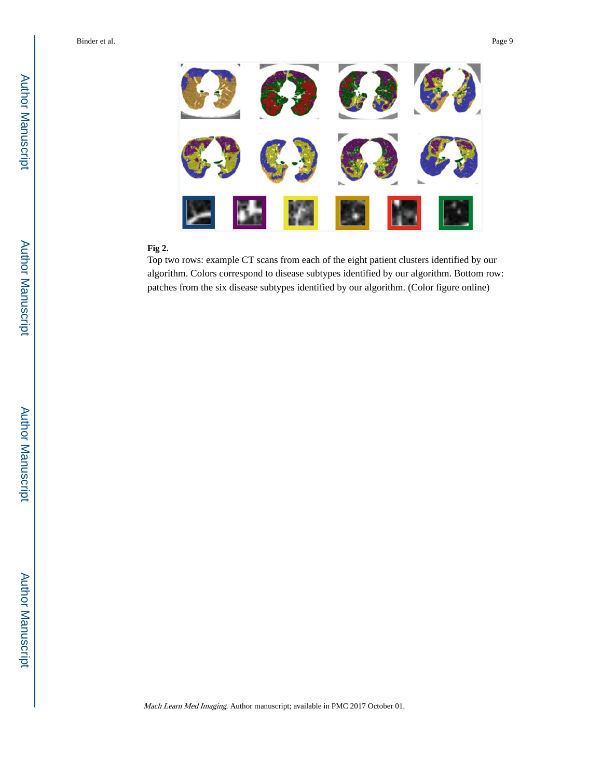

## **Fig 2.**

Top two rows: example CT scans from each of the eight patient clusters identified by our algorithm. Colors correspond to disease subtypes identified by our algorithm. Bottom row: patches from the six disease subtypes identified by our algorithm. (Color figure online)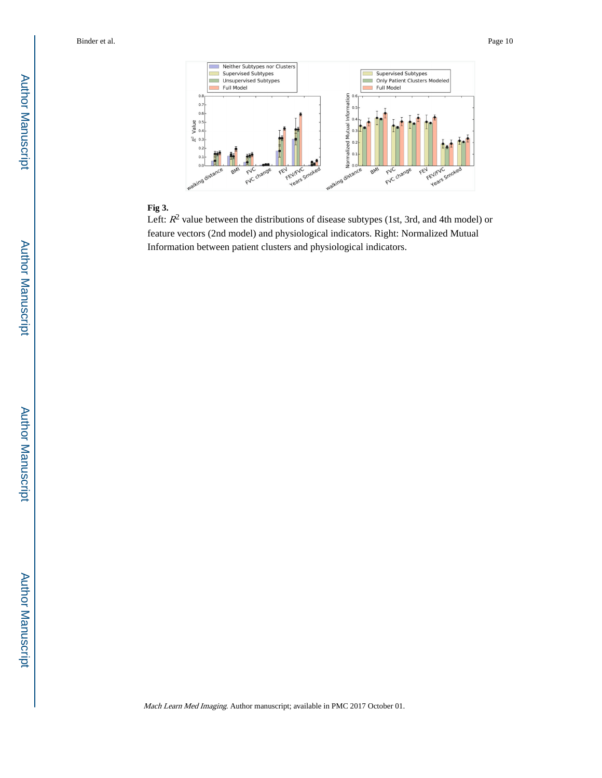Author ManuscriptAuthor Manuscript



### **Fig 3.**

Left:  $R^2$  value between the distributions of disease subtypes (1st, 3rd, and 4th model) or feature vectors (2nd model) and physiological indicators. Right: Normalized Mutual Information between patient clusters and physiological indicators.